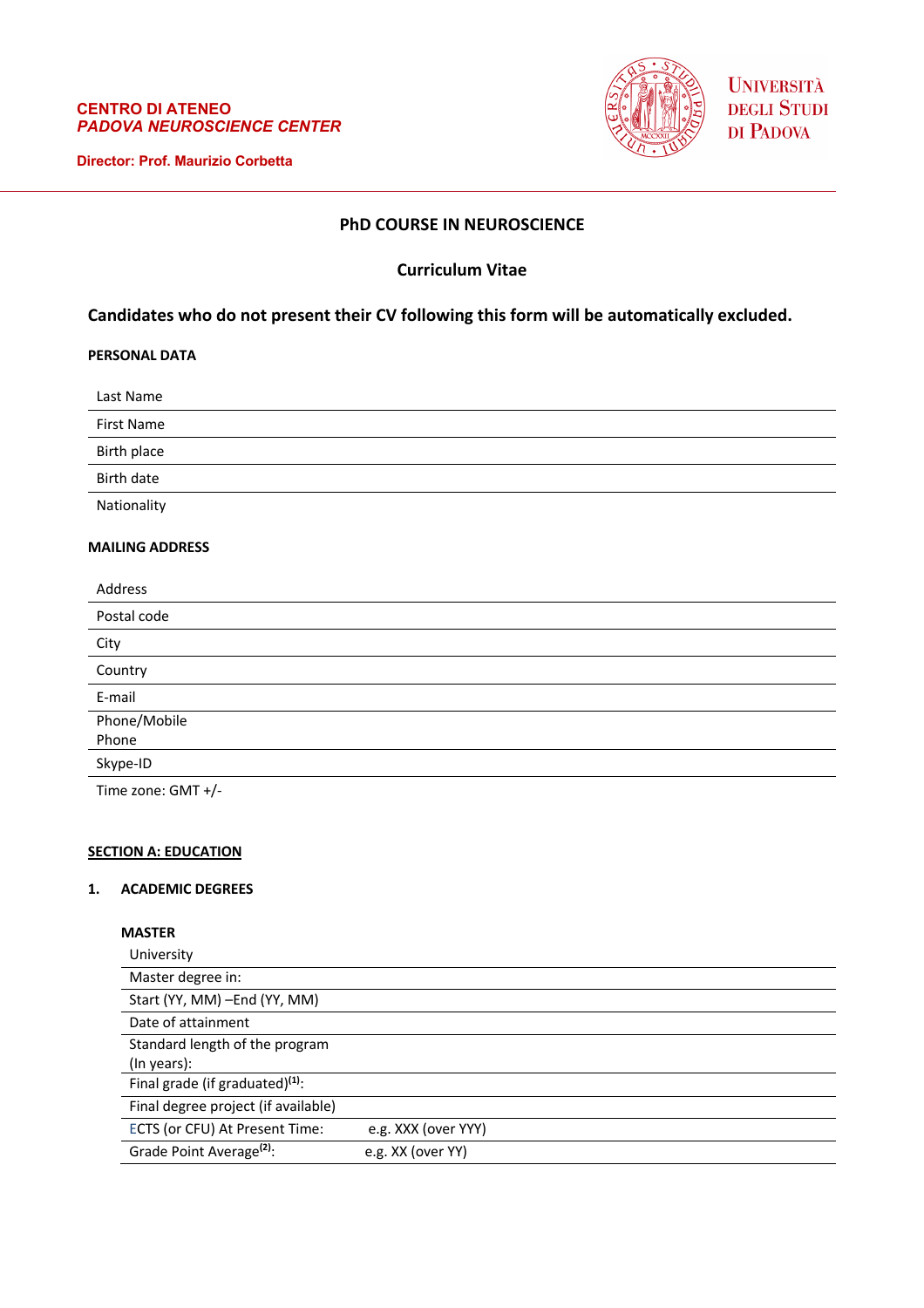### **CENTRO DI ATENEO** *PADOVA NEUROSCIENCE CENTER*

**Director: Prof. Maurizio Corbetta**



**UNIVERSITÀ** DEGLI STUDI DI PADOVA

# **PhD COURSE IN NEUROSCIENCE**

# **Curriculum Vitae**

# **Candidates who do not present their CV following this form will be automatically excluded.**

## **PERSONAL DATA**

Last Name

First Name

Birth place

Birth date

Nationality

#### **MAILING ADDRESS**

| Address            |
|--------------------|
| Postal code        |
| City               |
| Country            |
| E-mail             |
| Phone/Mobile       |
| Phone              |
| Skype-ID           |
| Time zone: GMT +/- |

### **SECTION A: EDUCATION**

#### **1. ACADEMIC DEGREES**

## **MASTER**

| University                           |                     |
|--------------------------------------|---------------------|
| Master degree in:                    |                     |
| Start (YY, MM) - End (YY, MM)        |                     |
| Date of attainment                   |                     |
| Standard length of the program       |                     |
| (In years):                          |                     |
| Final grade (if graduated) $(1)$ :   |                     |
| Final degree project (if available)  |                     |
| ECTS (or CFU) At Present Time:       | e.g. XXX (over YYY) |
| Grade Point Average <sup>(2)</sup> : | e.g. XX (over YY)   |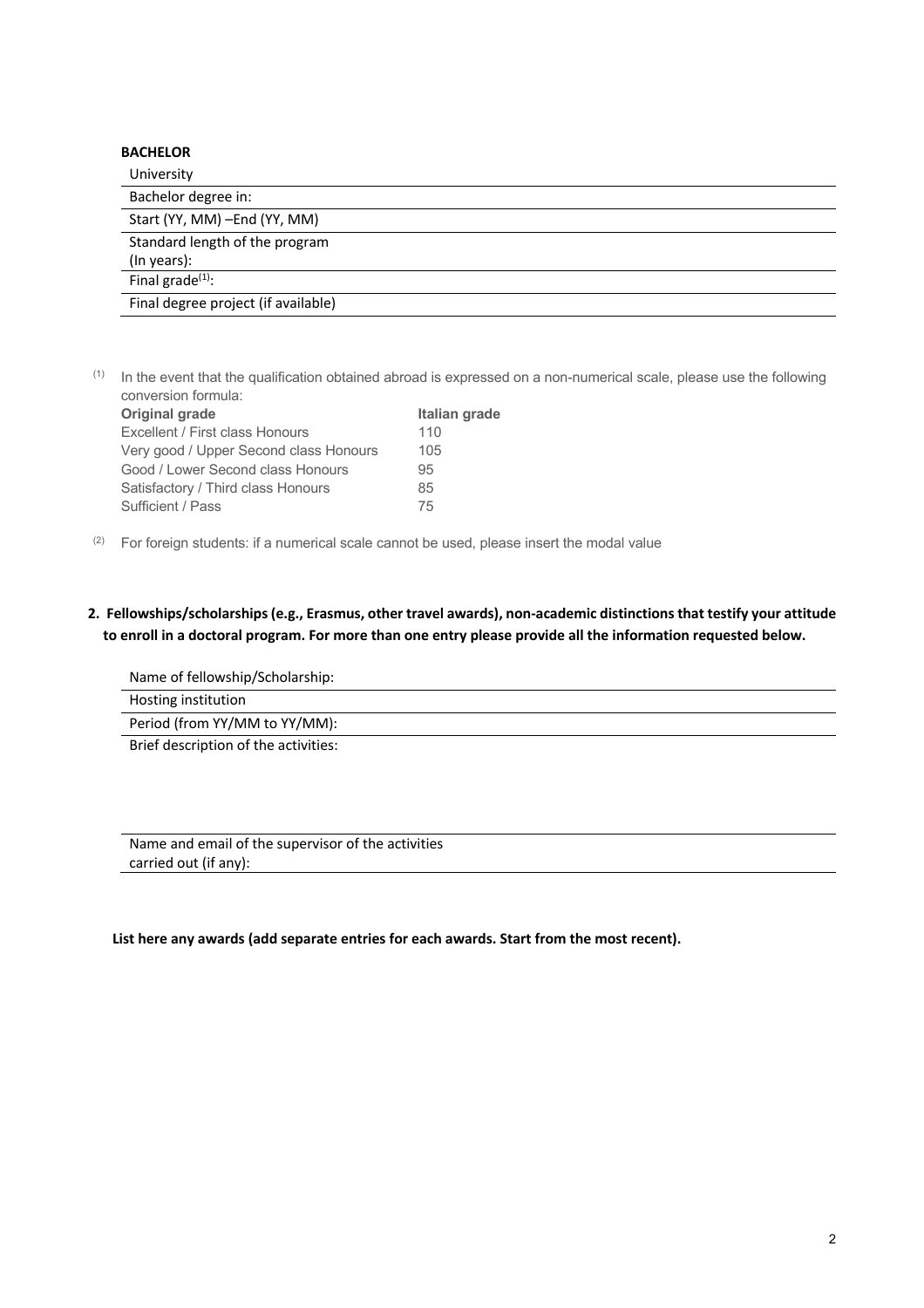| <b>BACHELOR</b>                     |  |
|-------------------------------------|--|
| University                          |  |
| Bachelor degree in:                 |  |
| Start (YY, MM) - End (YY, MM)       |  |
| Standard length of the program      |  |
| (In years):                         |  |
| Final grade $(1)$ :                 |  |
| Final degree project (if available) |  |

 $(1)$  In the event that the qualification obtained abroad is expressed on a non-numerical scale, please use the following conversion formula:

| Original grade                         | Italian grade |
|----------------------------------------|---------------|
| Excellent / First class Honours        | 110           |
| Very good / Upper Second class Honours | 105           |
| Good / Lower Second class Honours      | 95            |
| Satisfactory / Third class Honours     | 85            |
| Sufficient / Pass                      | 75            |

 $(2)$  For foreign students: if a numerical scale cannot be used, please insert the modal value

# **2. Fellowships/scholarships (e.g., Erasmus, other travel awards), non-academic distinctions that testify your attitude to enroll in a doctoral program. For more than one entry please provide all the information requested below.**

Name of fellowship/Scholarship: Hosting institution Period (from YY/MM to YY/MM): Brief description of the activities:

Name and email of the supervisor of the activities carried out (if any):

 **List here any awards (add separate entries for each awards. Start from the most recent).**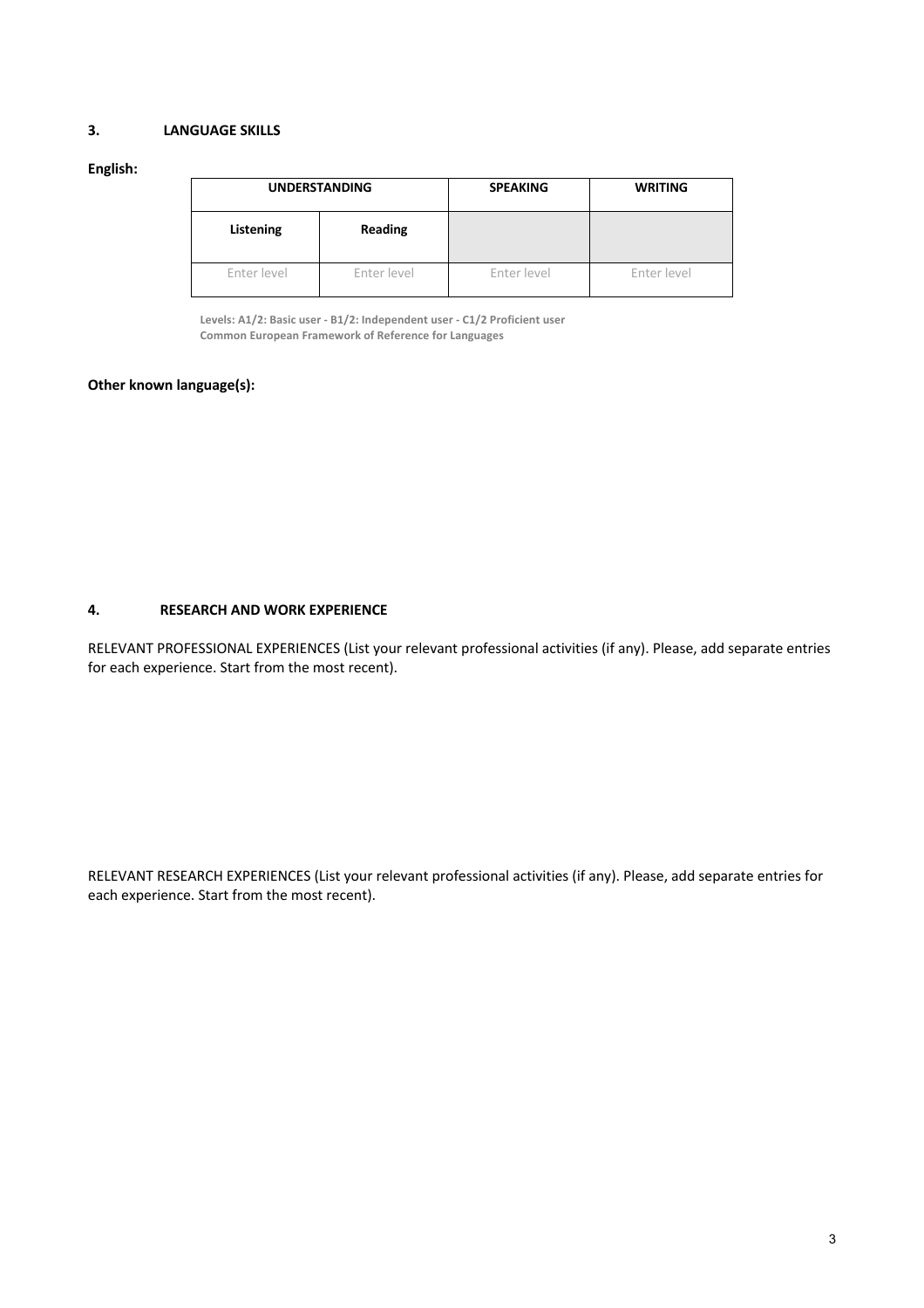# **3. LANGUAGE SKILLS**

#### **English:**

| <b>UNDERSTANDING</b> |             | <b>SPEAKING</b> | <b>WRITING</b> |
|----------------------|-------------|-----------------|----------------|
| Listening            | Reading     |                 |                |
| Enter level          | Enter level | Enter level     | Enter level    |

**Levels: A1/2: Basic user - B1/2: Independent user - C1/2 Proficient user Common European Framework of Reference for Languages**

## **Other known language(s):**

### **4. RESEARCH AND WORK EXPERIENCE**

RELEVANT PROFESSIONAL EXPERIENCES (List your relevant professional activities (if any). Please, add separate entries for each experience. Start from the most recent).

RELEVANT RESEARCH EXPERIENCES (List your relevant professional activities (if any). Please, add separate entries for each experience. Start from the most recent).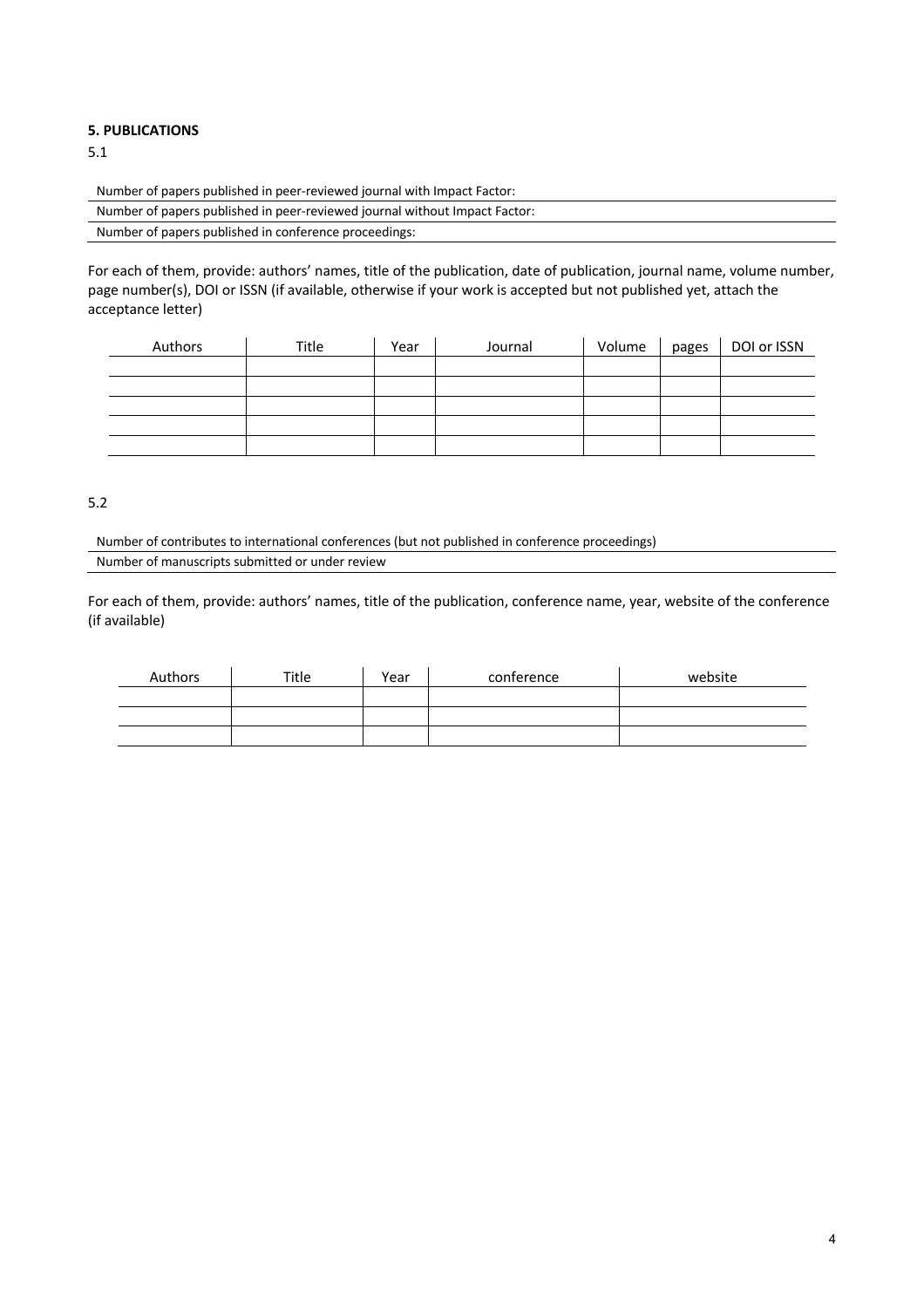### **5. PUBLICATIONS**

5.1

Number of papers published in peer-reviewed journal with Impact Factor:

| Number of papers published in peer-reviewed journal without Impact Factor: |
|----------------------------------------------------------------------------|
| Number of papers published in conference proceedings:                      |

For each of them, provide: authors' names, title of the publication, date of publication, journal name, volume number, page number(s), DOI or ISSN (if available, otherwise if your work is accepted but not published yet, attach the acceptance letter)

| Authors | Title | Year | Journal | Volume | pages | DOI or ISSN |
|---------|-------|------|---------|--------|-------|-------------|
|         |       |      |         |        |       |             |
|         |       |      |         |        |       |             |
|         |       |      |         |        |       |             |
|         |       |      |         |        |       |             |
|         |       |      |         |        |       |             |

5.2

Number of contributes to international conferences (but not published in conference proceedings) Number of manuscripts submitted or under review

For each of them, provide: authors' names, title of the publication, conference name, year, website of the conference (if available)

| Authors | Title | Year | conference | website |
|---------|-------|------|------------|---------|
|         |       |      |            |         |
|         |       |      |            |         |
|         |       |      |            |         |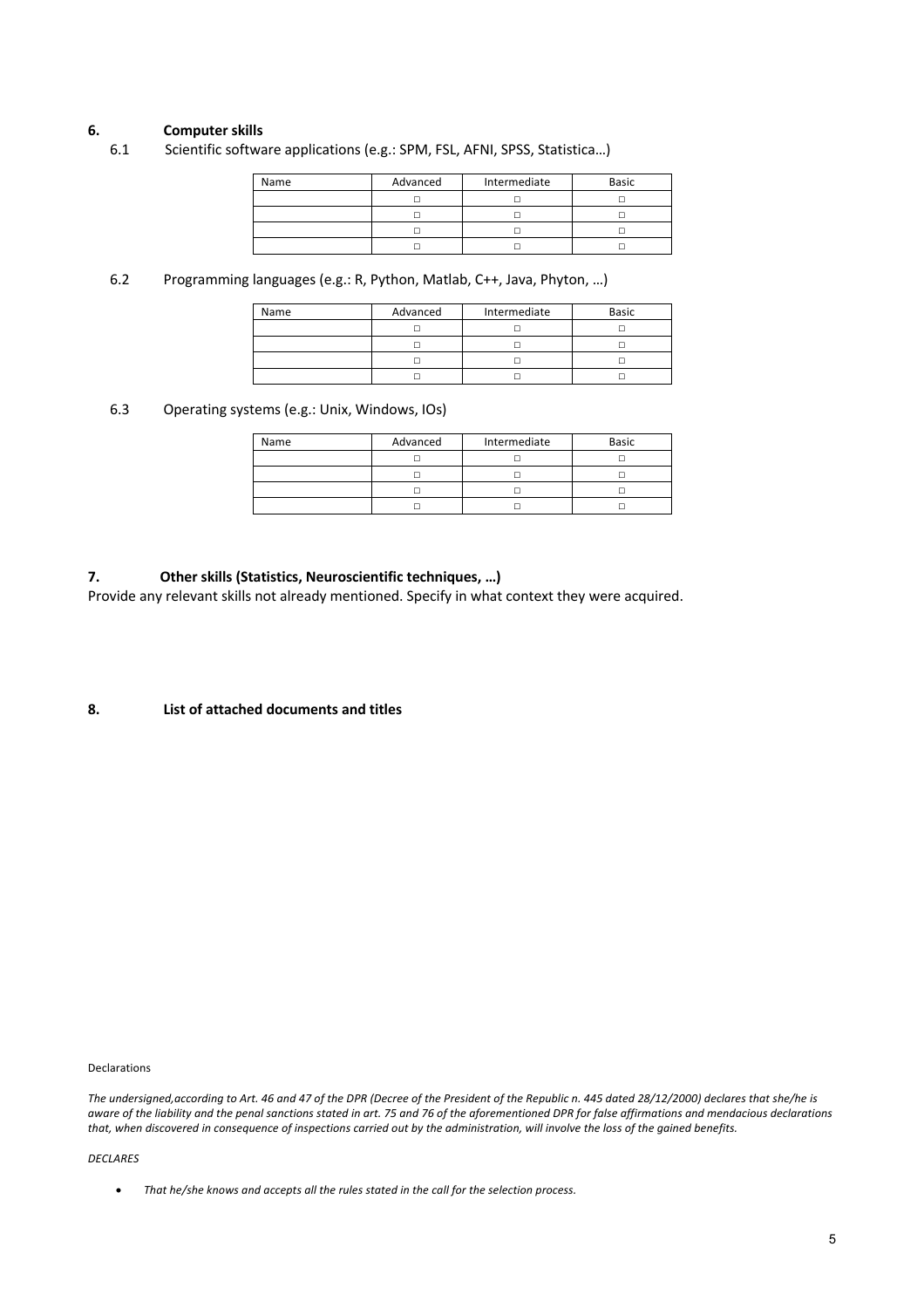### **6. Computer skills**

6.1 Scientific software applications (e.g.: SPM, FSL, AFNI, SPSS, Statistica…)

| Name | Advanced | Intermediate | <b>Basic</b> |  |
|------|----------|--------------|--------------|--|
|      |          |              |              |  |
|      |          |              |              |  |
|      |          |              |              |  |
|      |          |              |              |  |

6.2 Programming languages (e.g.: R, Python, Matlab, C++, Java, Phyton, …)

| Name | Advanced<br>Intermediate |  | <b>Basic</b> |  |
|------|--------------------------|--|--------------|--|
|      |                          |  |              |  |
|      |                          |  |              |  |
|      |                          |  |              |  |
|      |                          |  |              |  |

6.3 Operating systems (e.g.: Unix, Windows, IOs)

| Name | Advanced | Intermediate |  |
|------|----------|--------------|--|
|      |          |              |  |
|      |          |              |  |
|      |          |              |  |
|      |          |              |  |

### **7. Other skills (Statistics, Neuroscientific techniques, …)**

Provide any relevant skills not already mentioned. Specify in what context they were acquired.

**8. List of attached documents and titles**

Declarations

*The undersigned,according to Art. 46 and 47 of the DPR (Decree of the President of the Republic n. 445 dated 28/12/2000) declares that she/he is aware of the liability and the penal sanctions stated in art. 75 and 76 of the aforementioned DPR for false affirmations and mendacious declarations that, when discovered in consequence of inspections carried out by the administration, will involve the loss of the gained benefits.*

*DECLARES*

• *That he/she knows and accepts all the rules stated in the call for the selection process.*